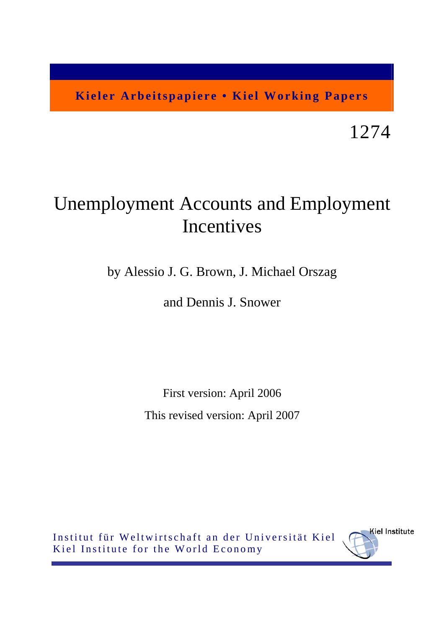**Kieler Arbeitspapiere • Kiel Working Papers** 

1274

# Unemployment Accounts and Employment Incentives

by Alessio J. G. Brown, J. Michael Orszag

and Dennis J. Snower

First version: April 2006 This revised version: April 2007

Institut für Weltwirtschaft an der Universität Kiel Kiel Institute for the World Economy

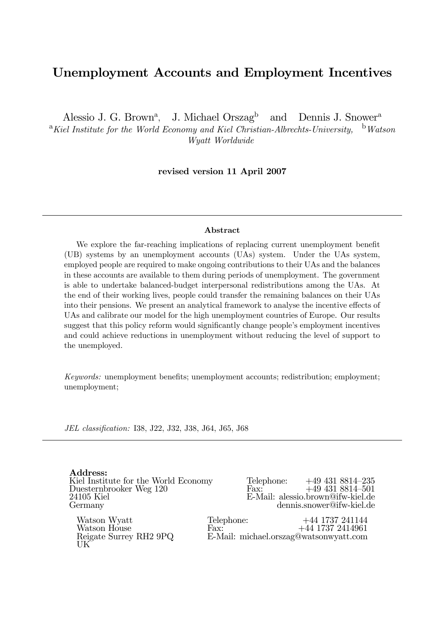## Unemployment Accounts and Employment Incentives

Alessio J. G. Brown<sup>a</sup>. J. Michael Orszag<sup>b</sup> and Dennis J. Snower<sup>a</sup>  ${}^{\rm a}$ Kiel Institute for the World Economy and Kiel Christian-Albrechts-University,  ${}^{\rm b}$ Watson Wyatt Worldwide

revised version 11 April 2007

#### Abstract

We explore the far-reaching implications of replacing current unemployment benefit (UB) systems by an unemployment accounts (UAs) system. Under the UAs system, employed people are required to make ongoing contributions to their UAs and the balances in these accounts are available to them during periods of unemployment. The government is able to undertake balanced-budget interpersonal redistributions among the UAs. At the end of their working lives, people could transfer the remaining balances on their UAs into their pensions. We present an analytical framework to analyse the incentive effects of UAs and calibrate our model for the high unemployment countries of Europe. Our results suggest that this policy reform would significantly change people's employment incentives and could achieve reductions in unemployment without reducing the level of support to the unemployed.

Keywords: unemployment benefits; unemployment accounts; redistribution; employment; unemployment;

JEL classification: I38, J22, J32, J38, J64, J65, J68

Address: Kiel Institute for the World Economy<br>Duesternbrooker Weg 120 Fax: +49 431 8814-501 Duesternbrooker Weg 120<br>24105 Kiel 24105 Kiel E-Mail: alessio.brown@ifw-kiel.de

UK

dennis.snower@ifw-kiel.de

Watson Wyatt Telephone: +44 1737 241144 Watson House Fax: +44 1737 2414961<br>Reigate Surrey RH2 9PQ E-Mail: michael.orszag@watsonwyatt.com E-Mail: michael.orszag@watsonwyatt.com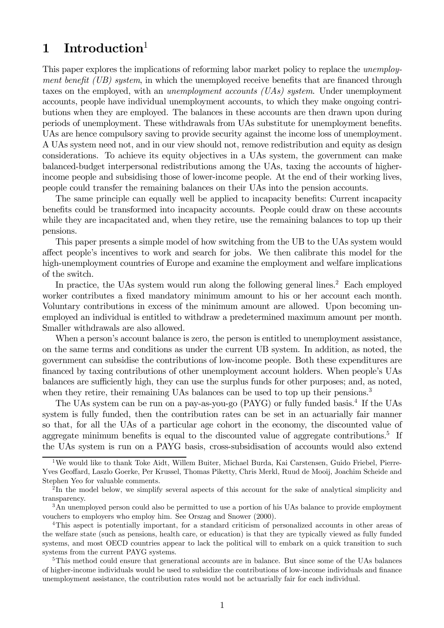## 1 Introduction $1$

This paper explores the implications of reforming labor market policy to replace the *unemploy*ment benefit (UB) system, in which the unemployed receive benefits that are financed through taxes on the employed, with an *unemployment accounts (UAs) system*. Under unemployment accounts, people have individual unemployment accounts, to which they make ongoing contributions when they are employed. The balances in these accounts are then drawn upon during periods of unemployment. These withdrawals from UAs substitute for unemployment benefits. UAs are hence compulsory saving to provide security against the income loss of unemployment. A UAs system need not, and in our view should not, remove redistribution and equity as design considerations. To achieve its equity objectives in a UAs system, the government can make balanced-budget interpersonal redistributions among the UAs, taxing the accounts of higherincome people and subsidising those of lower-income people. At the end of their working lives, people could transfer the remaining balances on their UAs into the pension accounts.

The same principle can equally well be applied to incapacity benefits: Current incapacity benefits could be transformed into incapacity accounts. People could draw on these accounts while they are incapacitated and, when they retire, use the remaining balances to top up their pensions.

This paper presents a simple model of how switching from the UB to the UAs system would affect people's incentives to work and search for jobs. We then calibrate this model for the high-unemployment countries of Europe and examine the employment and welfare implications of the switch.

In practice, the UAs system would run along the following general lines.<sup>2</sup> Each employed worker contributes a fixed mandatory minimum amount to his or her account each month. Voluntary contributions in excess of the minimum amount are allowed. Upon becoming unemployed an individual is entitled to withdraw a predetermined maximum amount per month. Smaller withdrawals are also allowed.

When a person's account balance is zero, the person is entitled to unemployment assistance, on the same terms and conditions as under the current UB system. In addition, as noted, the government can subsidise the contributions of low-income people. Both these expenditures are financed by taxing contributions of other unemployment account holders. When people's UAs balances are sufficiently high, they can use the surplus funds for other purposes; and, as noted, when they retire, their remaining UAs balances can be used to top up their pensions.<sup>3</sup>

The UAs system can be run on a pay-as-you-go (PAYG) or fully funded basis.<sup>4</sup> If the UAs system is fully funded, then the contribution rates can be set in an actuarially fair manner so that, for all the UAs of a particular age cohort in the economy, the discounted value of aggregate minimum benefits is equal to the discounted value of aggregate contributions.<sup>5</sup> If the UAs system is run on a PAYG basis, cross-subsidisation of accounts would also extend

<sup>1</sup>We would like to thank Toke Aidt, Willem Buiter, Michael Burda, Kai Carstensen, Guido Friebel, Pierre-Yves Geoffard, Laszlo Goerke, Per Krussel, Thomas Piketty, Chris Merkl, Ruud de Mooij, Joachim Scheide and Stephen Yeo for valuable comments.

 $2$ In the model below, we simplify several aspects of this account for the sake of analytical simplicity and transparency.

<sup>&</sup>lt;sup>3</sup>An unemployed person could also be permitted to use a portion of his UAs balance to provide employment vouchers to employers who employ him. See Orszag and Snower (2000).

<sup>&</sup>lt;sup>4</sup>This aspect is potentially important, for a standard criticism of personalized accounts in other areas of the welfare state (such as pensions, health care, or education) is that they are typically viewed as fully funded systems, and most OECD countries appear to lack the political will to embark on a quick transition to such systems from the current PAYG systems.

<sup>&</sup>lt;sup>5</sup>This method could ensure that generational accounts are in balance. But since some of the UAs balances of higher-income individuals would be used to subsidize the contributions of low-income individuals and finance unemployment assistance, the contribution rates would not be actuarially fair for each individual.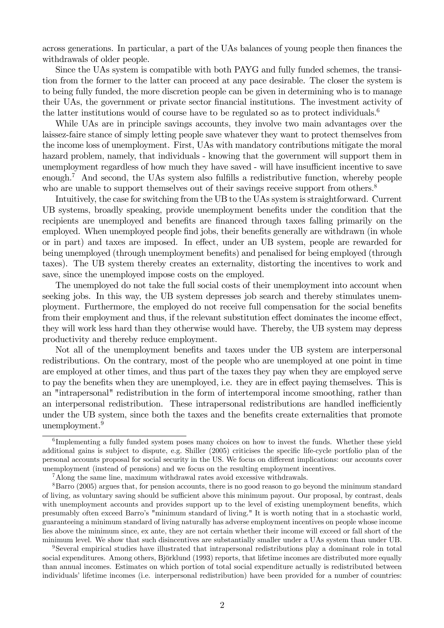across generations. In particular, a part of the UAs balances of young people then finances the withdrawals of older people.

Since the UAs system is compatible with both PAYG and fully funded schemes, the transition from the former to the latter can proceed at any pace desirable. The closer the system is to being fully funded, the more discretion people can be given in determining who is to manage their UAs, the government or private sector financial institutions. The investment activity of the latter institutions would of course have to be regulated so as to protect individuals.<sup>6</sup>

While UAs are in principle savings accounts, they involve two main advantages over the laissez-faire stance of simply letting people save whatever they want to protect themselves from the income loss of unemployment. First, UAs with mandatory contributions mitigate the moral hazard problem, namely, that individuals - knowing that the government will support them in unemployment regardless of how much they have saved - will have insufficient incentive to save enough.<sup>7</sup> And second, the UAs system also fulfills a redistributive function, whereby people who are unable to support themselves out of their savings receive support from others.<sup>8</sup>

Intuitively, the case for switching from the UB to the UAs system is straightforward. Current UB systems, broadly speaking, provide unemployment benefits under the condition that the recipients are unemployed and benefits are financed through taxes falling primarily on the employed. When unemployed people find jobs, their benefits generally are withdrawn (in whole or in part) and taxes are imposed. In effect, under an UB system, people are rewarded for being unemployed (through unemployment benefits) and penalised for being employed (through taxes). The UB system thereby creates an externality, distorting the incentives to work and save, since the unemployed impose costs on the employed.

The unemployed do not take the full social costs of their unemployment into account when seeking jobs. In this way, the UB system depresses job search and thereby stimulates unemployment. Furthermore, the employed do not receive full compensation for the social benefits from their employment and thus, if the relevant substitution effect dominates the income effect, they will work less hard than they otherwise would have. Thereby, the UB system may depress productivity and thereby reduce employment.

Not all of the unemployment benefits and taxes under the UB system are interpersonal redistributions. On the contrary, most of the people who are unemployed at one point in time are employed at other times, and thus part of the taxes they pay when they are employed serve to pay the benefits when they are unemployed, i.e. they are in effect paying themselves. This is an "intrapersonal" redistribution in the form of intertemporal income smoothing, rather than an interpersonal redistribution. These intrapersonal redistributions are handled inefficiently under the UB system, since both the taxes and the benefits create externalities that promote unemployment.<sup>9</sup>

<sup>&</sup>lt;sup>6</sup>Implementing a fully funded system poses many choices on how to invest the funds. Whether these yield additional gains is subject to dispute, e.g. Shiller (2005) criticises the specific life-cycle portfolio plan of the personal accounts proposal for social security in the US. We focus on different implications: our accounts cover unemployment (instead of pensions) and we focus on the resulting employment incentives.

<sup>7</sup>Along the same line, maximum withdrawal rates avoid excessive withdrawals.

<sup>&</sup>lt;sup>8</sup>Barro (2005) argues that, for pension accounts, there is no good reason to go beyond the minimum standard of living, as voluntary saving should be sufficient above this minimum payout. Our proposal, by contrast, deals with unemployment accounts and provides support up to the level of existing unemployment benefits, which presumably often exceed Barro's "minimum standard of living." It is worth noting that in a stochastic world, guaranteeing a minimum standard of living naturally has adverse employment incentives on people whose income lies above the minimum since, ex ante, they are not certain whether their income will exceed or fall short of the minimum level. We show that such disincentives are substantially smaller under a UAs system than under UB.

<sup>9</sup>Several empirical studies have illustrated that intrapersonal redistributions play a dominant role in total social expenditures. Among others, Björklund (1993) reports, that lifetime incomes are distributed more equally than annual incomes. Estimates on which portion of total social expenditure actually is redistributed between individuals' lifetime incomes (i.e. interpersonal redistribution) have been provided for a number of countries: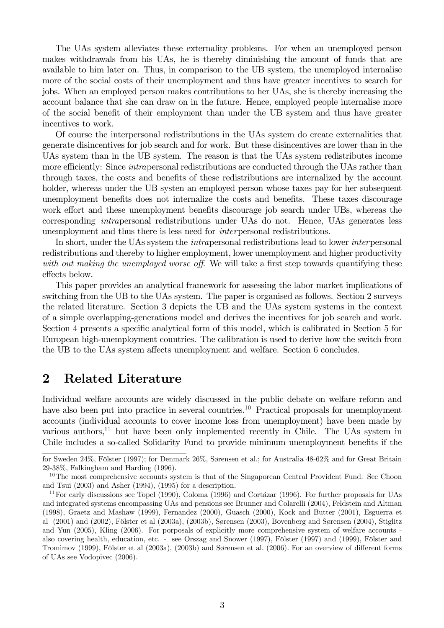The UAs system alleviates these externality problems. For when an unemployed person makes withdrawals from his UAs, he is thereby diminishing the amount of funds that are available to him later on. Thus, in comparison to the UB system, the unemployed internalise more of the social costs of their unemployment and thus have greater incentives to search for jobs. When an employed person makes contributions to her UAs, she is thereby increasing the account balance that she can draw on in the future. Hence, employed people internalise more of the social benefit of their employment than under the UB system and thus have greater incentives to work.

Of course the interpersonal redistributions in the UAs system do create externalities that generate disincentives for job search and for work. But these disincentives are lower than in the UAs system than in the UB system. The reason is that the UAs system redistributes income more efficiently: Since *intra*personal redistributions are conducted through the UAs rather than through taxes, the costs and benefits of these redistributions are internalized by the account holder, whereas under the UB systen an employed person whose taxes pay for her subsequent unemployment benefits does not internalize the costs and benefits. These taxes discourage work effort and these unemployment benefits discourage job search under UBs, whereas the corresponding intrapersonal redistributions under UAs do not. Hence, UAs generates less unemployment and thus there is less need for interpersonal redistributions.

In short, under the UAs system the intrapersonal redistributions lead to lower interpersonal redistributions and thereby to higher employment, lower unemployment and higher productivity with out making the unemployed worse off. We will take a first step towards quantifying these effects below.

This paper provides an analytical framework for assessing the labor market implications of switching from the UB to the UAs system. The paper is organised as follows. Section 2 surveys the related literature. Section 3 depicts the UB and the UAs system systems in the context of a simple overlapping-generations model and derives the incentives for job search and work. Section 4 presents a specific analytical form of this model, which is calibrated in Section 5 for European high-unemployment countries. The calibration is used to derive how the switch from the UB to the UAs system affects unemployment and welfare. Section 6 concludes.

## 2 Related Literature

Individual welfare accounts are widely discussed in the public debate on welfare reform and have also been put into practice in several countries.<sup>10</sup> Practical proposals for unemployment accounts (individual accounts to cover income loss from unemployment) have been made by various authors, $^{11}$  but have been only implemented recently in Chile. The UAs system in Chile includes a so-called Solidarity Fund to provide minimum unemployment benefits if the

for Sweden 24%, Fölster (1997); for Denmark 26%, Sørensen et al.; for Australia 48-62% and for Great Britain 29-38%, Falkingham and Harding (1996).

 $10$ The most comprehensive accounts system is that of the Singaporean Central Provident Fund. See Choon and Tsui (2003) and Asher (1994), (1995) for a description.

<sup>11</sup>For early discussions see Topel (1990), Coloma (1996) and Cortázar (1996). For further proposals for UAs and integrated systems encompassing UAs and pensions see Brunner and Colarelli (2004), Feldstein and Altman (1998), Graetz and Mashaw (1999), Fernandez (2000), Guasch (2000), Kock and Butter (2001), Esguerra et al (2001) and (2002), Fölster et al (2003a), (2003b), Sørensen (2003), Bovenberg and Sørensen (2004), Stiglitz and Yun (2005), Kling (2006). For porposals of explicitly more comprehensive system of welfare accounts also covering health, education, etc. - see Orszag and Snower (1997), Fölster (1997) and (1999), Fölster and Tromimov (1999), Fölster et al (2003a), (2003b) and Sørensen et al. (2006). For an overview of different forms of UAs see Vodopivec (2006).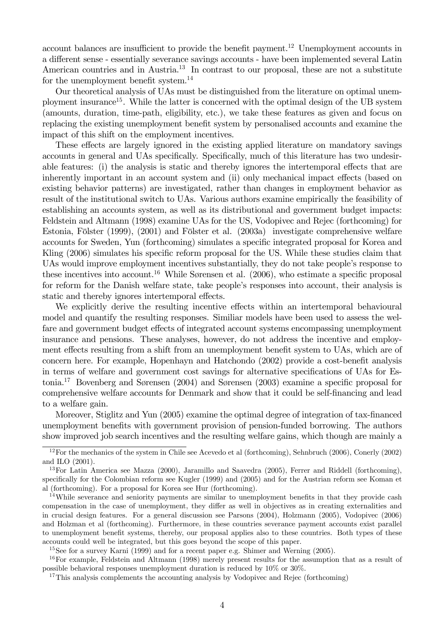account balances are insufficient to provide the benefit payment.<sup>12</sup> Unemployment accounts in a different sense - essentially severance savings accounts - have been implemented several Latin American countries and in Austria.<sup>13</sup> In contrast to our proposal, these are not a substitute for the unemployment benefit system.<sup>14</sup>

Our theoretical analysis of UAs must be distinguished from the literature on optimal unemployment insurance15. While the latter is concerned with the optimal design of the UB system (amounts, duration, time-path, eligibility, etc.), we take these features as given and focus on replacing the existing unemployment benefit system by personalised accounts and examine the impact of this shift on the employment incentives.

These effects are largely ignored in the existing applied literature on mandatory savings accounts in general and UAs specifically. Specifically, much of this literature has two undesirable features: (i) the analysis is static and thereby ignores the intertemporal effects that are inherently important in an account system and (ii) only mechanical impact effects (based on existing behavior patterns) are investigated, rather than changes in employment behavior as result of the institutional switch to UAs. Various authors examine empirically the feasibility of establishing an accounts system, as well as its distributional and government budget impacts: Feldstein and Altmann (1998) examine UAs for the US, Vodopivec and Rejec (forthcoming) for Estonia, Fölster (1999), (2001) and Fölster et al. (2003a) investigate comprehensive welfare accounts for Sweden, Yun (forthcoming) simulates a specific integrated proposal for Korea and Kling (2006) simulates his specific reform proposal for the US. While these studies claim that UAs would improve employment incentives substantially, they do not take people's response to these incentives into account.<sup>16</sup> While Sørensen et al.  $(2006)$ , who estimate a specific proposal for reform for the Danish welfare state, take people's responses into account, their analysis is static and thereby ignores intertemporal effects.

We explicitly derive the resulting incentive effects within an intertemporal behavioural model and quantify the resulting responses. Similiar models have been used to assess the welfare and government budget effects of integrated account systems encompassing unemployment insurance and pensions. These analyses, however, do not address the incentive and employment effects resulting from a shift from an unemployment benefit system to UAs, which are of concern here. For example, Hopenhayn and Hatchondo (2002) provide a cost-benefit analysis in terms of welfare and government cost savings for alternative specifications of UAs for Estonia.17 Bovenberg and Sørensen (2004) and Sørensen (2003) examine a specific proposal for comprehensive welfare accounts for Denmark and show that it could be self-financing and lead to a welfare gain.

Moreover, Stiglitz and Yun (2005) examine the optimal degree of integration of tax-financed unemployment benefits with government provision of pension-funded borrowing. The authors show improved job search incentives and the resulting welfare gains, which though are mainly a

<sup>15</sup>See for a survey Karni (1999) and for a recent paper e.g. Shimer and Werning (2005).

<sup>16</sup>For example, Feldstein and Altmann (1998) merely present results for the assumption that as a result of possible behavioral responses unemployment duration is reduced by 10% or 30%.

<sup>17</sup>This analysis complements the accounting analysis by Vodopivec and Rejec (forthcoming)

 $12$ For the mechanics of the system in Chile see Acevedo et al (forthcoming), Sehnbruch (2006), Conerly (2002) and ILO (2001).

<sup>13</sup>For Latin America see Mazza (2000), Jaramillo and Saavedra (2005), Ferrer and Riddell (forthcoming), specifically for the Colombian reform see Kugler (1999) and (2005) and for the Austrian reform see Koman et al (forthcoming). For a proposal for Korea see Hur (forthcoming).

<sup>&</sup>lt;sup>14</sup>While severance and seniority payments are similar to unemployment benefits in that they provide cash compensation in the case of unemployment, they differ as well in objectives as in creating externalities and in crucial design features. For a general discussion see Parsons (2004), Holzmann (2005), Vodopivec (2006) and Holzman et al (forthcoming). Furthermore, in these countries severance payment accounts exist parallel to unemployment benefit systems, thereby, our proposal applies also to these countries. Both types of these accounts could well be integrated, but this goes beyond the scope of this paper.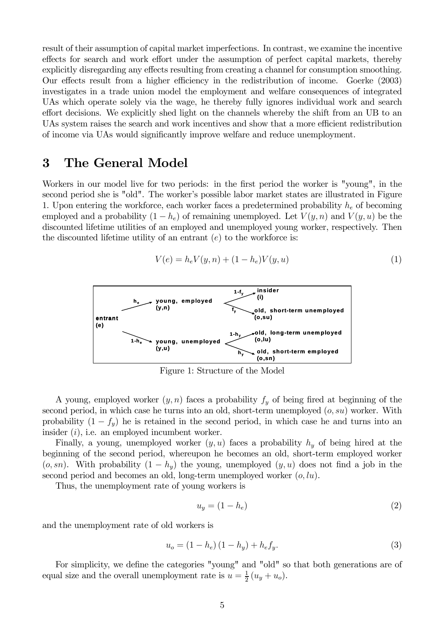result of their assumption of capital market imperfections. In contrast, we examine the incentive effects for search and work effort under the assumption of perfect capital markets, thereby explicitly disregarding any effects resulting from creating a channel for consumption smoothing. Our effects result from a higher efficiency in the redistribution of income. Goerke (2003) investigates in a trade union model the employment and welfare consequences of integrated UAs which operate solely via the wage, he thereby fully ignores individual work and search effort decisions. We explicitly shed light on the channels whereby the shift from an UB to an UAs system raises the search and work incentives and show that a more efficient redistribution of income via UAs would significantly improve welfare and reduce unemployment.

## 3 The General Model

Workers in our model live for two periods: in the first period the worker is "young", in the second period she is "old". The worker's possible labor market states are illustrated in Figure 1. Upon entering the workforce, each worker faces a predetermined probability  $h_e$  of becoming employed and a probability  $(1-h_e)$  of remaining unemployed. Let  $V(y, n)$  and  $V(y, u)$  be the discounted lifetime utilities of an employed and unemployed young worker, respectively. Then the discounted lifetime utility of an entrant  $(e)$  to the workforce is:

$$
V(e) = h_e V(y, n) + (1 - h_e) V(y, u)
$$
\n(1)



Figure 1: Structure of the Model

A young, employed worker  $(y, n)$  faces a probability  $f_y$  of being fired at beginning of the second period, in which case he turns into an old, short-term unemployed  $(o, su)$  worker. With probability  $(1 - f_y)$  he is retained in the second period, in which case he and turns into an insider  $(i)$ , i.e. an employed incumbent worker.

Finally, a young, unemployed worker  $(y, u)$  faces a probability  $h_y$  of being hired at the beginning of the second period, whereupon he becomes an old, short-term employed worker  $(o, sn)$ . With probability  $(1 - h_y)$  the young, unemployed  $(y, u)$  does not find a job in the second period and becomes an old, long-term unemployed worker  $(o, lu)$ .

Thus, the unemployment rate of young workers is

$$
u_y = (1 - h_e) \tag{2}
$$

and the unemployment rate of old workers is

$$
u_o = (1 - h_e) (1 - h_y) + h_e f_y.
$$
\n(3)

For simplicity, we define the categories "young" and "old" so that both generations are of equal size and the overall unemployment rate is  $u = \frac{1}{2}(u_y + u_o)$ .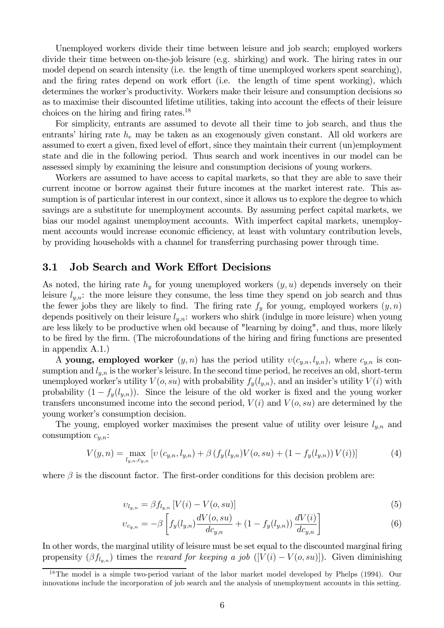Unemployed workers divide their time between leisure and job search; employed workers divide their time between on-the-job leisure (e.g. shirking) and work. The hiring rates in our model depend on search intensity (i.e. the length of time unemployed workers spent searching), and the firing rates depend on work effort (i.e. the length of time spent working), which determines the worker's productivity. Workers make their leisure and consumption decisions so as to maximise their discounted lifetime utilities, taking into account the effects of their leisure choices on the hiring and firing rates.18

For simplicity, entrants are assumed to devote all their time to job search, and thus the entrants' hiring rate  $h_e$  may be taken as an exogenously given constant. All old workers are assumed to exert a given, fixed level of effort, since they maintain their current (un)employment state and die in the following period. Thus search and work incentives in our model can be assessed simply by examining the leisure and consumption decisions of young workers.

Workers are assumed to have access to capital markets, so that they are able to save their current income or borrow against their future incomes at the market interest rate. This assumption is of particular interest in our context, since it allows us to explore the degree to which savings are a substitute for unemployment accounts. By assuming perfect capital markets, we bias our model against unemployment accounts. With imperfect capital markets, unemployment accounts would increase economic efficiency, at least with voluntary contribution levels, by providing households with a channel for transferring purchasing power through time.

#### 3.1 Job Search and Work Effort Decisions

As noted, the hiring rate  $h_y$  for young unemployed workers  $(y, u)$  depends inversely on their leisure  $l_{y,u}$ : the more leisure they consume, the less time they spend on job search and thus the fewer jobs they are likely to find. The firing rate  $f_y$  for young, employed workers  $(y, n)$ depends positively on their leisure  $l_{y,n}$ : workers who shirk (indulge in more leisure) when young are less likely to be productive when old because of "learning by doing", and thus, more likely to be fired by the firm. (The microfoundations of the hiring and firing functions are presented in appendix A.1.)

A young, employed worker  $(y, n)$  has the period utility  $v(c_{y,n}, l_{y,n})$ , where  $c_{y,n}$  is consumption and  $l_{y,n}$  is the worker's leisure. In the second time period, he receives an old, short-term unemployed worker's utility  $V(o, su)$  with probability  $f_v(l_{u,n})$ , and an insider's utility  $V(i)$  with probability  $(1 - f_y(l_{y,n}))$ . Since the leisure of the old worker is fixed and the young worker transfers unconsumed income into the second period,  $V(i)$  and  $V(o, su)$  are determined by the young worker's consumption decision.

The young, employed worker maximises the present value of utility over leisure  $l_{y,n}$  and consumption  $c_{y,n}$ :

$$
V(y,n) = \max_{l_{y,n},c_{y,n}} \left[ \nu(c_{y,n}, l_{y,n}) + \beta(f_y(l_{y,n})V(o, su) + (1 - f_y(l_{y,n})) V(i)) \right]
$$
(4)

where  $\beta$  is the discount factor. The first-order conditions for this decision problem are:

$$
v_{l_{y,n}} = \beta f_{l_{y,n}} \left[ V(i) - V(o, su) \right] \tag{5}
$$

$$
v_{c_{y,n}} = -\beta \left[ f_y(l_{y,n}) \frac{dV(o, su)}{dc_{y,n}} + (1 - f_y(l_{y,n})) \frac{dV(i)}{dc_{y,n}} \right]
$$
(6)

In other words, the marginal utility of leisure must be set equal to the discounted marginal firing propensity  $(\beta f_{l_{y,n}})$  times the reward for keeping a job  $([V(i) - V(o, su)])$ . Given diminishing

<sup>&</sup>lt;sup>18</sup>The model is a simple two-period variant of the labor market model developed by Phelps  $(1994)$ . Our innovations include the incorporation of job search and the analysis of unemployment accounts in this setting.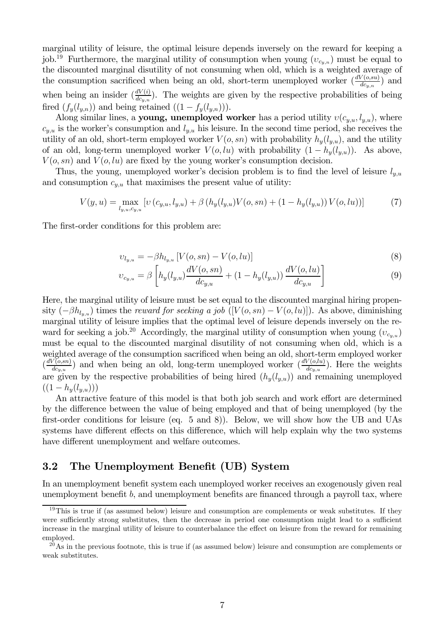marginal utility of leisure, the optimal leisure depends inversely on the reward for keeping a job.<sup>19</sup> Furthermore, the marginal utility of consumption when young  $(v_{c_{u,n}})$  must be equal to the discounted marginal disutility of not consuming when old, which is a weighted average of the consumption sacrificed when being an old, short-term unemployed worker  $\left(\frac{dV(o,su)}{dc_{y,n}}\right)$  and when being an insider  $\left(\frac{dV(i)}{dc_{y,n}}\right)$ . The weights are given by the respective probabilities of being fired  $(f_y(l_{y,n}))$  and being retained  $((1 - f_y(l_{y,n}))).$ 

Along similar lines, a **young, unemployed worker** has a period utility  $v(c_{u,u}, l_{u,u})$ , where  $c_{y,u}$  is the worker's consumption and  $l_{y,u}$  his leisure. In the second time period, she receives the utility of an old, short-term employed worker  $V(o, sn)$  with probability  $h_y(l_{y,u})$ , and the utility of an old, long-term unemployed worker  $V(o, lu)$  with probability  $(1-h_y(l_{y,u}))$ . As above,  $V(o, sn)$  and  $V(o, lu)$  are fixed by the young worker's consumption decision.

Thus, the young, unemployed worker's decision problem is to find the level of leisure  $l_{u,u}$ and consumption  $c_{y,u}$  that maximises the present value of utility:

$$
V(y, u) = \max_{l_{y, u}, c_{y, u}} \left[ v(c_{y, u}, l_{y, u}) + \beta(h_y(l_{y, u}) V(o, sn) + (1 - h_y(l_{y, u})) V(o, lu)) \right]
$$
(7)

The first-order conditions for this problem are:

$$
v_{l_{y,u}} = -\beta h_{l_{y,u}} \left[ V(o, sn) - V(o, lu) \right]
$$
\n(8)

$$
v_{c_{y,u}} = \beta \left[ h_y(l_{y,u}) \frac{dV(o, sn)}{dc_{y,u}} + (1 - h_y(l_{y,u})) \frac{dV(o, lu)}{dc_{y,u}} \right]
$$
(9)

Here, the marginal utility of leisure must be set equal to the discounted marginal hiring propensity  $(-\beta h_{l_{uu}})$  times the reward for seeking a job  $([V(o, sn) - V(o, lu)])$ . As above, diminishing marginal utility of leisure implies that the optimal level of leisure depends inversely on the reward for seeking a job.<sup>20</sup> Accordingly, the marginal utility of consumption when young  $(v_{c_y,u})$ must be equal to the discounted marginal disutility of not consuming when old, which is a weighted average of the consumption sacrificed when being an old, short-term employed worker  $\left(\frac{dV(o, sn)}{dc_{y,u}}\right)$  and when being an old, long-term unemployed worker  $\left(\frac{dV(o, lu)}{dc_{y,u}}\right)$ . Here the weights are given by the respective probabilities of being hired  $(h_y(l_{y,u}))$  and remaining unemployed  $((1 - h_y(l_{y,u})))$ 

An attractive feature of this model is that both job search and work effort are determined by the difference between the value of being employed and that of being unemployed (by the first-order conditions for leisure (eq. 5 and 8)). Below, we will show how the UB and UAs systems have different effects on this difference, which will help explain why the two systems have different unemployment and welfare outcomes.

#### 3.2 The Unemployment Benefit (UB) System

In an unemployment benefit system each unemployed worker receives an exogenously given real unemployment benefit  $b$ , and unemployment benefits are financed through a payroll tax, where

 $19$ This is true if (as assumed below) leisure and consumption are complements or weak substitutes. If they were sufficiently strong substitutes, then the decrease in period one consumption might lead to a sufficient increase in the marginal utility of leisure to counterbalance the effect on leisure from the reward for remaining employed.

 $^{20}\text{As}$  in the previous footnote, this is true if (as assumed below) leisure and consumption are complements or weak substitutes.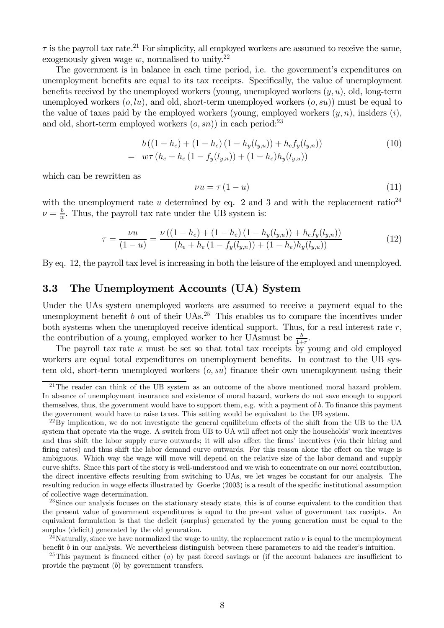$\tau$  is the payroll tax rate.<sup>21</sup> For simplicity, all employed workers are assumed to receive the same, exogenously given wage  $w$ , normalised to unity.<sup>22</sup>

The government is in balance in each time period, i.e. the government's expenditures on unemployment benefits are equal to its tax receipts. Specifically, the value of unemployment benefits received by the unemployed workers (young, unemployed workers  $(y, u)$ , old, long-term unemployed workers  $(o, lu)$ , and old, short-term unemployed workers  $(o, su)$  must be equal to the value of taxes paid by the employed workers (young, employed workers  $(y, n)$ , insiders  $(i)$ , and old, short-term employed workers  $(o, sn)$  in each period:<sup>23</sup>

$$
b ((1 - h_e) + (1 - h_e) (1 - h_y(l_{y,u})) + h_e f_y(l_{y,u}))
$$
  
=  $w\tau (h_e + h_e (1 - f_y(l_{y,u})) + (1 - h_e) h_y(l_{y,u}))$  (10)

which can be rewritten as

$$
\nu u = \tau (1 - u) \tag{11}
$$

with the unemployment rate u determined by eq. 2 and 3 and with the replacement ratio<sup>24</sup>  $\nu = \frac{b}{w}$ . Thus, the payroll tax rate under the UB system is:

$$
\tau = \frac{\nu u}{(1-u)} = \frac{\nu ((1-h_e) + (1-h_e) (1-h_y(l_{y,u})) + h_e f_y(l_{y,n}))}{(h_e + h_e (1 - f_y(l_{y,n})) + (1-h_e) h_y(l_{y,u}))}
$$
(12)

By eq. 12, the payroll tax level is increasing in both the leisure of the employed and unemployed.

#### 3.3 The Unemployment Accounts (UA) System

Under the UAs system unemployed workers are assumed to receive a payment equal to the unemployment benefit b out of their UAs.<sup>25</sup> This enables us to compare the incentives under both systems when the unemployed receive identical support. Thus, for a real interest rate  $r$ , the contribution of a young, employed worker to her UAsmust be  $\frac{b}{1+r}$ .

The payroll tax rate  $\kappa$  must be set so that total tax receipts by young and old employed workers are equal total expenditures on unemployment benefits. In contrast to the UB system old, short-term unemployed workers  $(o, su)$  finance their own unemployment using their

<sup>&</sup>lt;sup>21</sup>The reader can think of the UB system as an outcome of the above mentioned moral hazard problem. In absence of unemployment insurance and existence of moral hazard, workers do not save enough to support themselves, thus, the government would have to support them, e.g. with a payment of b. To finance this payment the government would have to raise taxes. This setting would be equivalent to the UB system.

 $^{22}$ By implication, we do not investigate the general equilibrium effects of the shift from the UB to the UA system that operate via the wage. A switch from UB to UA will affect not only the households' work incentives and thus shift the labor supply curve outwards; it will also affect the firms' incentives (via their hiring and firing rates) and thus shift the labor demand curve outwards. For this reason alone the effect on the wage is ambiguous. Which way the wage will move will depend on the relative size of the labor demand and supply curve shifts. Since this part of the story is well-understood and we wish to concentrate on our novel contribution, the direct incentive effects resulting from switching to UAs, we let wages be constant for our analysis. The resulting reducion in wage effects illustrated by Goerke (2003) is a result of the specific institutional assumption of collective wage determination.

<sup>&</sup>lt;sup>23</sup>Since our analysis focuses on the stationary steady state, this is of course equivalent to the condition that the present value of government expenditures is equal to the present value of government tax receipts. An equivalent formulation is that the deficit (surplus) generated by the young generation must be equal to the surplus (deficit) generated by the old generation.

<sup>&</sup>lt;sup>24</sup>Naturally, since we have normalized the wage to unity, the replacement ratio  $\nu$  is equal to the unemployment benefit b in our analysis. We nevertheless distinguish between these parameters to aid the reader's intuition.

<sup>&</sup>lt;sup>25</sup>This payment is financed either  $(a)$  by past forced savings or (if the account balances are insufficient to provide the payment (b) by government transfers.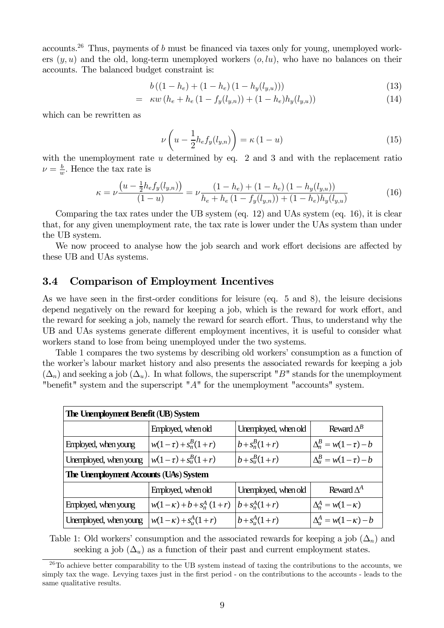accounts.26 Thus, payments of b must be financed via taxes only for young, unemployed workers  $(y, u)$  and the old, long-term unemployed workers  $(o, lu)$ , who have no balances on their accounts. The balanced budget constraint is:

$$
b\left((1-h_e) + (1-h_e)\left(1-h_y(l_{y,u})\right)\right) \tag{13}
$$

$$
= \kappa w (h_e + h_e (1 - f_y(l_{y,n})) + (1 - h_e) h_y(l_{y,u})) \tag{14}
$$

which can be rewritten as

$$
\nu\left(u - \frac{1}{2}h_e f_y(l_{y,n})\right) = \kappa\left(1 - u\right) \tag{15}
$$

with the unemployment rate  $u$  determined by eq. 2 and 3 and with the replacement ratio  $\nu = \frac{b}{w}$ . Hence the tax rate is

$$
\kappa = \nu \frac{\left(u - \frac{1}{2} h_e f_y(l_{y,n})\right)}{(1-u)} = \nu \frac{\left(1 - h_e\right) + \left(1 - h_e\right) \left(1 - h_y(l_{y,u})\right)}{h_e + h_e \left(1 - f_y(l_{y,n})\right) + \left(1 - h_e\right) h_y(l_{y,u})}
$$
(16)

Comparing the tax rates under the UB system (eq. 12) and UAs system (eq. 16), it is clear that, for any given unemployment rate, the tax rate is lower under the UAs system than under the UB system.

We now proceed to analyse how the job search and work effort decisions are affected by these UB and UAs systems.

#### 3.4 Comparison of Employment Incentives

As we have seen in the first-order conditions for leisure (eq. 5 and 8), the leisure decisions depend negatively on the reward for keeping a job, which is the reward for work effort, and the reward for seeking a job, namely the reward for search effort. Thus, to understand why the UB and UAs systems generate different employment incentives, it is useful to consider what workers stand to lose from being unemployed under the two systems.

Table 1 compares the two systems by describing old workers' consumption as a function of the worker's labour market history and also presents the associated rewards for keeping a job  $(\Delta_n)$  and seeking a job  $(\Delta_u)$ . In what follows, the superscript "B" stands for the unemployment "benefit" system and the superscript "A" for the unemployment "accounts" system.

| The Unemployment Benefit (UB) System   |                                 |                      |                                |  |  |
|----------------------------------------|---------------------------------|----------------------|--------------------------------|--|--|
|                                        | Employed, when old              | Unemployed, when old | Reward $\Lambda^B$             |  |  |
| Employed, when young                   | $w(1-\tau) + s_n^B(1+r)$        | $b + s_n^B(1+r)$     | $\Delta_n^B = w(1-\tau) - b$   |  |  |
| Unemployed, when young                 | $w(1-\tau) + s_u^B(1+r)$        | $b + s_n^B(1+r)$     | $\Delta_u^B = w(1-\tau) - b$   |  |  |
| The Unemployment Accounts (UAs) System |                                 |                      |                                |  |  |
|                                        | Employed, when old              | Unemployed, when old | Reward $\Lambda^A$             |  |  |
| Employed, when young                   | $w(1-\kappa) + b + s_n^A (1+r)$ | $b + s_n^A(1+r)$     | $\Delta_n^A = w(1-\kappa)$     |  |  |
| Unemployed, when young                 | $w(1-\kappa) + s_u^A(1+r)$      | $b + s_u^A(1+r)$     | $\Delta_u^A = w(1-\kappa) - b$ |  |  |

Table 1: Old workers' consumption and the associated rewards for keeping a job  $(\Delta_n)$  and seeking a job  $(\Delta_u)$  as a function of their past and current employment states.

<sup>&</sup>lt;sup>26</sup>To achieve better comparability to the UB system instead of taxing the contributions to the accounts, we simply tax the wage. Levying taxes just in the first period - on the contributions to the accounts - leads to the same qualitative results.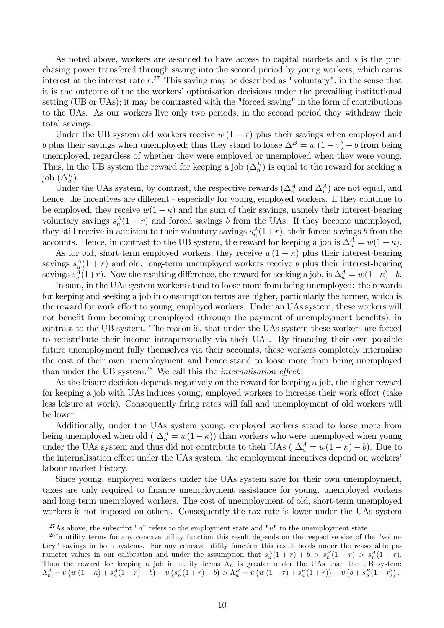As noted above, workers are assumed to have access to capital markets and s is the purchasing power transfered through saving into the second period by young workers, which earns interest at the interest rate  $r^{27}$ . This saving may be described as "voluntary", in the sense that it is the outcome of the the workers' optimisation decisions under the prevailing institutional setting (UB or UAs); it may be contrasted with the "forced saving" in the form of contributions to the UAs. As our workers live only two periods, in the second period they withdraw their total savings.

Under the UB system old workers receive  $w(1 - \tau)$  plus their savings when employed and b plus their savings when unemployed; thus they stand to loose  $\Delta^B = w(1 - \tau) - b$  from being unemployed, regardless of whether they were employed or unemployed when they were young. Thus, in the UB system the reward for keeping a job  $(\Delta_n^B)$  is equal to the reward for seeking a job  $(\Delta_u^B)$ .

Under the UAs system, by contrast, the respective rewards  $(\Delta_n^A$  and  $\Delta_u^A)$  are not equal, and hence, the incentives are different - especially for young, employed workers. If they continue to be employed, they receive  $w(1 - \kappa)$  and the sum of their savings, namely their interest-bearing voluntary savings  $s_n^A(1+r)$  and forced savings b from the UAs. If they become unemployed, they still receive in addition to their voluntary savings  $s_n^A(1+r)$ , their forced savings b from the accounts. Hence, in contrast to the UB system, the reward for keeping a job is  $\Delta_n^A = w(1 - \kappa)$ .

As for old, short-term employed workers, they receive  $w(1 - \kappa)$  plus their interest-bearing savings  $s_u^A(1+r)$  and old, long-term unemployed workers receive b plus their interest-bearing savings  $s_u^A(1+r)$ . Now the resulting difference, the reward for seeking a job, is  $\Delta_u^A = w(1-\kappa) - b$ .

In sum, in the UAs system workers stand to loose more from being unemployed: the rewards for keeping and seeking a job in consumption terms are higher, particularly the former, which is the reward for work effort to young, employed workers. Under an UAs system, these workers will not benefit from becoming unemployed (through the payment of unemployment benefits), in contrast to the UB system. The reason is, that under the UAs system these workers are forced to redistribute their income intrapersonally via their UAs. By financing their own possible future unemployment fully themselves via their accounts, these workers completely internalise the cost of their own unemployment and hence stand to loose more from being unemployed than under the UB system.28 We call this the internalisation effect.

As the leisure decision depends negatively on the reward for keeping a job, the higher reward for keeping a job with UAs induces young, employed workers to increase their work effort (take less leisure at work). Consequently firing rates will fall and unemployment of old workers will be lower.

Additionally, under the UAs system young, employed workers stand to loose more from being unemployed when old  $(\Delta_n^A = w(1-\kappa))$  than workers who were unemployed when young under the UAs system and thus did not contribute to their UAs ( $\Delta_u^A = w(1 - \kappa) - b$ ). Due to the internalisation effect under the UAs system, the employment incentives depend on workers' labour market history.

Since young, employed workers under the UAs system save for their own unemployment, taxes are only required to finance unemployment assistance for young, unemployed workers and long-term unemployed workers. The cost of unemployment of old, short-term unemployed workers is not imposed on others. Consequently the tax rate is lower under the UAs system

<sup>&</sup>lt;sup>27</sup>As above, the subscript "n" refers to the employment state and "u" to the unemployment state.

<sup>&</sup>lt;sup>28</sup>In utility terms for any concave utility function this result depends on the respective size of the "voluntary" savings in both systems. For any concave utility function this result holds under the reasonable parameter values in our calibration and under the assumption that  $s_n^A(1 + r) + b > s_n^B(1 + r) > s_n^A(1 + r)$ . Then the reward for keeping a job in utility terms  $\Lambda_n$  is greater under the UAs than the UB system:  $\Lambda_n^A = v \left( w \left( 1 - \kappa \right) + s_n^A (1 + r) + b \right) - v \left( s_n^A (1 + r) + b \right) > \Lambda_n^B = v \left( w \left( 1 - \tau \right) + s_n^B (1 + r) \right) - v \left( b + s_n^B (1 + r) \right).$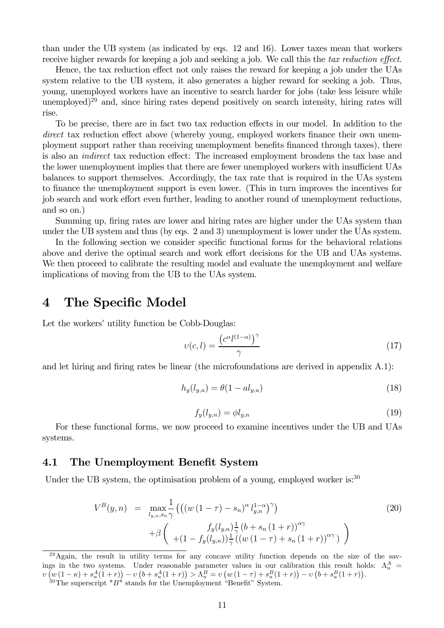than under the UB system (as indicated by eqs. 12 and 16). Lower taxes mean that workers receive higher rewards for keeping a job and seeking a job. We call this the tax reduction effect.

Hence, the tax reduction effect not only raises the reward for keeping a job under the UAs system relative to the UB system, it also generates a higher reward for seeking a job. Thus, young, unemployed workers have an incentive to search harder for jobs (take less leisure while unemployed)<sup>29</sup> and, since hiring rates depend positively on search intensity, hiring rates will rise.

To be precise, there are in fact two tax reduction effects in our model. In addition to the direct tax reduction effect above (whereby young, employed workers finance their own unemployment support rather than receiving unemployment benefits financed through taxes), there is also an indirect tax reduction effect: The increased employment broadens the tax base and the lower unemployment implies that there are fewer unemployed workers with insufficient UAs balances to support themselves. Accordingly, the tax rate that is required in the UAs system to finance the unemployment support is even lower. (This in turn improves the incentives for job search and work effort even further, leading to another round of unemployment reductions, and so on.)

Summing up, firing rates are lower and hiring rates are higher under the UAs system than under the UB system and thus (by eqs. 2 and 3) unemployment is lower under the UAs system.

In the following section we consider specific functional forms for the behavioral relations above and derive the optimal search and work effort decisions for the UB and UAs systems. We then proceed to calibrate the resulting model and evaluate the unemployment and welfare implications of moving from the UB to the UAs system.

## 4 The Specific Model

Let the workers' utility function be Cobb-Douglas:

$$
\upsilon(c,l) = \frac{\left(c^{\alpha}l^{(1-\alpha)}\right)^{\gamma}}{\gamma} \tag{17}
$$

and let hiring and firing rates be linear (the microfoundations are derived in appendix A.1):

$$
h_y(l_{y,u}) = \theta(1 - al_{y,u})
$$
\n(18)

$$
f_y(l_{y,n}) = \phi l_{y,n} \tag{19}
$$

For these functional forms, we now proceed to examine incentives under the UB and UAs systems.

#### 4.1 The Unemployment Benefit System

Under the UB system, the optimisation problem of a young, employed worker is: $30$ 

$$
V^{B}(y,n) = \max_{l_{y,n},s_{n}} \frac{1}{\gamma} \left( \left( (w(1-\tau)-s_{n})^{\alpha} l_{y,n}^{1-\alpha} \right)^{\gamma} \right) + \beta \left( \frac{f_{y}(l_{y,n})\frac{1}{\gamma} (b+s_{n} (1+r))^{\alpha\gamma}}{+ (1-f_{y}(l_{y,n}))\frac{1}{\gamma} ((w(1-\tau)+s_{n} (1+r))^{\alpha\gamma})} \right)
$$
(20)

 $^{29}$ Again, the result in utility terms for any concave utility function depends on the size of the savings in the two systems. Under reasonable parameter values in our calibration this result holds:  $\Lambda_u^A$  =  $v\left(w\left(1-\kappa\right)+s_u^A(1+r)\right)-v\left(b+s_u^A(1+r)\right)>\Lambda_u^B=v\left(w\left(1-\tau\right)+s_u^B(1+r)\right)-v\left(b+s_u^B(1+r)\right).$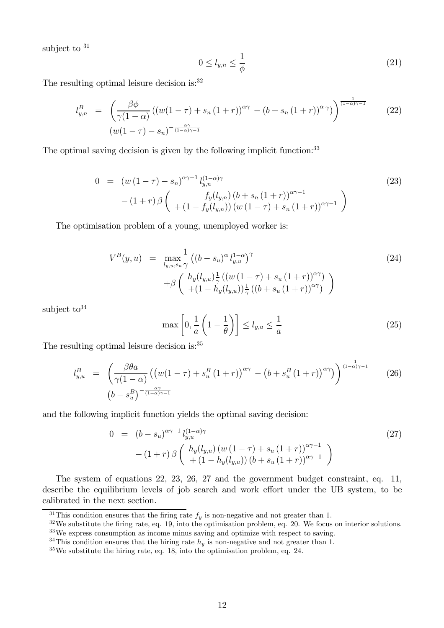subject to  $31$ 

$$
0 \le l_{y,n} \le \frac{1}{\phi} \tag{21}
$$

The resulting optimal leisure decision is:<sup>32</sup>

$$
l_{y,n}^B = \left(\frac{\beta\phi}{\gamma(1-\alpha)}\left((w(1-\tau)+s_n(1+r))^{\alpha\gamma} - (b+s_n(1+r))^{\alpha\gamma}\right)\right)^{\frac{1}{(1-\alpha)\gamma-1}}
$$
(22)  

$$
\left(w(1-\tau)-s_n\right)^{-\frac{\alpha\gamma}{(1-\alpha)\gamma-1}}
$$

The optimal saving decision is given by the following implicit function:<sup>33</sup>

$$
0 = (w (1 - \tau) - s_n)^{\alpha \gamma - 1} l_{y,n}^{(1 - \alpha) \gamma}
$$
  
 
$$
- (1 + r) \beta \begin{pmatrix} f_y(l_{y,n}) (b + s_n (1 + r))^{\alpha \gamma - 1} \\ + (1 - f_y(l_{y,n})) (w (1 - \tau) + s_n (1 + r))^{\alpha \gamma - 1} \end{pmatrix}
$$
 (23)

The optimisation problem of a young, unemployed worker is:

$$
V^{B}(y, u) = \max_{l_{y,u}, s_u \gamma} \frac{1}{\gamma} \left( (b - s_u)^{\alpha} l_{y,u}^{1-\alpha} \right)^{\gamma} + \beta \left( \frac{h_y(l_{y,u})_{\gamma}^{\frac{1}{\gamma}} \left( (w(1-\tau) + s_u(1+r))^{\alpha \gamma} \right)}{+(1-h_y(l_{y,u}))_{\gamma}^{\frac{1}{\gamma}} \left( (b + s_u(1+r))^{\alpha \gamma} \right)} \right)
$$
(24)

subject  $\mathrm{to}^{34}$ 

$$
\max\left[0, \frac{1}{a}\left(1 - \frac{1}{\theta}\right)\right] \le l_{y,u} \le \frac{1}{a} \tag{25}
$$

The resulting optimal leisure decision is:<sup>35</sup>

$$
l_{y,u}^B = \left(\frac{\beta \theta a}{\gamma (1-\alpha)} \left( \left( w(1-\tau) + s_u^B (1+r) \right)^{\alpha \gamma} - \left( b + s_u^B (1+r) \right)^{\alpha \gamma} \right) \right)^{\frac{1}{(1-\alpha)\gamma - 1}} \tag{26}
$$

$$
\left(b - s_u^B \right)^{-\frac{\alpha \gamma}{(1-\alpha)\gamma - 1}}
$$

and the following implicit function yields the optimal saving decision:

$$
0 = (b - s_u)^{\alpha \gamma - 1} l_{y,u}^{(1-\alpha)\gamma} - (1+r) \beta \begin{pmatrix} h_y(l_{y,u}) (w (1-\tau) + s_u (1+r))^{\alpha \gamma - 1} \\ + (1 - h_y(l_{y,u})) (b + s_u (1+r))^{\alpha \gamma - 1} \end{pmatrix}
$$
\n(27)

The system of equations 22, 23, 26, 27 and the government budget constraint, eq. 11, describe the equilibrium levels of job search and work effort under the UB system, to be calibrated in the next section.

<sup>&</sup>lt;sup>31</sup>This condition ensures that the firing rate  $f_y$  is non-negative and not greater than 1.

<sup>32</sup>We substitute the firing rate, eq. 19, into the optimisation problem, eq. 20. We focus on interior solutions. 33We express consumption as income minus saving and optimize with respect to saving.

<sup>&</sup>lt;sup>34</sup>This condition ensures that the hiring rate  $h_y$  is non-negative and not greater than 1.

 $35\,\text{We substitute the hiring rate, eq. 18, into the optimisation problem, eq. 24.}$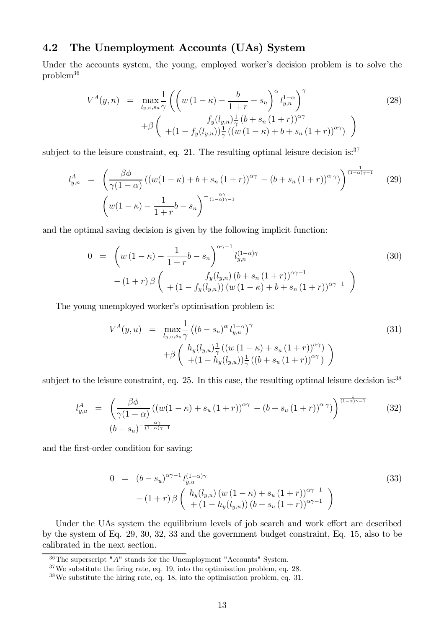#### 4.2 The Unemployment Accounts (UAs) System

Under the accounts system, the young, employed worker's decision problem is to solve the problem36

$$
V^{A}(y,n) = \max_{l_{y,n},s_{n}} \frac{1}{\gamma} \left( \left( w\left(1-\kappa\right) - \frac{b}{1+r} - s_{n} \right)^{\alpha} l_{y,n}^{1-\alpha} \right)^{\gamma} + \beta \left( \frac{f_{y}(l_{y,n})\frac{1}{\gamma}\left(b+s_{n}\left(1+r\right)\right)^{\alpha\gamma}}{+ (1-f_{y}(l_{y,n}))\frac{1}{\gamma}\left((w\left(1-\kappa\right)+b+s_{n}\left(1+r\right)\right)^{\alpha\gamma})} \right)
$$
(28)

subject to the leisure constraint, eq. 21. The resulting optimal leisure decision is: $37$ 

$$
l_{y,n}^A = \left(\frac{\beta\phi}{\gamma(1-\alpha)}\left((w(1-\kappa)+b+s_n(1+r))^{\alpha\gamma}-(b+s_n(1+r))^{\alpha\gamma}\right)\right)^{\frac{1}{(1-\alpha)\gamma-1}} \tag{29}
$$

$$
\left(w(1-\kappa)-\frac{1}{1+r}b-s_n\right)^{-\frac{\alpha\gamma}{(1-\alpha)\gamma-1}}
$$

and the optimal saving decision is given by the following implicit function:

$$
0 = \left(w(1 - \kappa) - \frac{1}{1 + r}b - s_n\right)^{\alpha \gamma - 1} l_{y,n}^{(1 - \alpha)\gamma}
$$
  
 
$$
- (1 + r)\beta \left(\begin{array}{c} f_y(l_{y,n}) \left(b + s_n (1 + r)\right)^{\alpha \gamma - 1} \\ + (1 - f_y(l_{y,n})) \left(w (1 - \kappa) + b + s_n (1 + r)\right)^{\alpha \gamma - 1} \end{array}\right)
$$
(30)

The young unemployed worker's optimisation problem is:

$$
V^{A}(y, u) = \max_{l_{y,u}, s_u \gamma} \frac{1}{\gamma} \left( (b - s_u)^{\alpha} l_{y,u}^{1 - \alpha} \right)^{\gamma} + \beta \left( \frac{h_y(l_{y,u}) \frac{1}{\gamma} \left( (w(1 - \kappa) + s_u(1 + r))^{\alpha \gamma} \right)}{+(1 - h_y(l_{y,u})) \frac{1}{\gamma} \left( (b + s_u(1 + r))^{\alpha \gamma} \right)} \right)
$$
(31)

subject to the leisure constraint, eq. 25. In this case, the resulting optimal leisure decision is:<sup>38</sup>

$$
l_{y,u}^A = \left(\frac{\beta\phi}{\gamma(1-\alpha)}\left((w(1-\kappa)+s_u(1+r))^{\alpha\gamma} - (b+s_u(1+r))^{\alpha\gamma}\right)\right)^{\frac{1}{(1-\alpha)\gamma-1}}
$$
(32)  

$$
(b-s_u)^{-\frac{\alpha\gamma}{(1-\alpha)\gamma-1}}
$$

and the first-order condition for saving:

$$
0 = (b - s_u)^{\alpha \gamma - 1} l_{y,u}^{(1-\alpha)\gamma} - (1+r) \beta \begin{pmatrix} h_y(l_{y,u}) (w (1 - \kappa) + s_u (1+r))^{\alpha \gamma - 1} \\ + (1 - h_y(l_{y,u})) (b + s_u (1+r))^{\alpha \gamma - 1} \end{pmatrix}
$$
\n(33)

Under the UAs system the equilibrium levels of job search and work effort are described by the system of Eq. 29, 30, 32, 33 and the government budget constraint, Eq. 15, also to be calibrated in the next section.

 $36$ The superscript "A" stands for the Unemployment "Accounts" System.

<sup>37</sup>We substitute the firing rate, eq. 19, into the optimisation problem, eq. 28.

<sup>38</sup>We substitute the hiring rate, eq. 18, into the optimisation problem, eq. 31.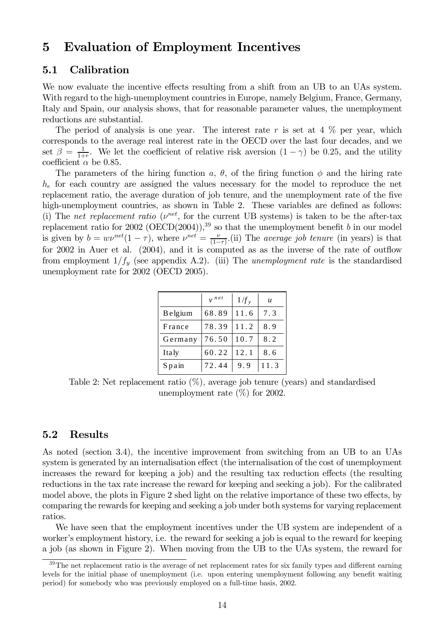## 5 Evaluation of Employment Incentives

### 5.1 Calibration

We now evaluate the incentive effects resulting from a shift from an UB to an UAs system. With regard to the high-unemployment countries in Europe, namely Belgium, France, Germany, Italy and Spain, our analysis shows, that for reasonable parameter values, the unemployment reductions are substantial.

The period of analysis is one year. The interest rate r is set at 4  $\%$  per year, which corresponds to the average real interest rate in the OECD over the last four decades, and we set  $\beta = \frac{1}{1+r}$ . We let the coefficient of relative risk aversion  $(1-\gamma)$  be 0.25, and the utility coefficient  $\alpha$  be 0.85.

The parameters of the hiring function a,  $\theta$ , of the firing function  $\phi$  and the hiring rate  $h_e$  for each country are assigned the values necessary for the model to reproduce the net replacement ratio, the average duration of job tenure, and the unemployment rate of the five high-unemployment countries, as shown in Table 2. These variables are defined as follows: (i) The net replacement ratio ( $v^{net}$ , for the current UB systems) is taken to be the after-tax replacement ratio for 2002 ( $\text{OECD}(2004)$ ),<sup>39</sup> so that the unemployment benefit b in our model is given by  $b = w\nu^{net}(1-\tau)$ , where  $\nu^{net} = \frac{\nu}{(1-\tau)}$ .(ii) The *average job tenure* (in years) is that for 2002 in Auer et al. (2004), and it is computed as as the inverse of the rate of outflow from employment  $1/f_y$  (see appendix A.2). (iii) The unemployment rate is the standardised unemployment rate for 2002 (OECD 2005).

|         | $v^{net}$ | $1/f_v$ | $\boldsymbol{u}$ |
|---------|-----------|---------|------------------|
| Belgium | 68.89     | 11.6    | 7.3              |
| France  | 78.39     | 11.2    | 8.9              |
| Germany | 76.50     | 10.7    | 8.2              |
| Italy   | 60.22     | 12.1    | 8.6              |
| Spain   | 72.44     | 9.9     | 11.3             |

Table 2: Net replacement ratio  $(\%)$ , average job tenure (years) and standardised unemployment rate  $(\%)$  for 2002.

#### 5.2 Results

As noted (section 3.4), the incentive improvement from switching from an UB to an UAs system is generated by an internalisation effect (the internalisation of the cost of unemployment increases the reward for keeping a job) and the resulting tax reduction effects (the resulting reductions in the tax rate increase the reward for keeping and seeking a job). For the calibrated model above, the plots in Figure 2 shed light on the relative importance of these two effects, by comparing the rewards for keeping and seeking a job under both systems for varying replacement ratios.

We have seen that the employment incentives under the UB system are independent of a worker's employment history, i.e. the reward for seeking a job is equal to the reward for keeping a job (as shown in Figure 2). When moving from the UB to the UAs system, the reward for

<sup>&</sup>lt;sup>39</sup>The net replacement ratio is the average of net replacement rates for six family types and different earning levels for the initial phase of unemployment (i.e. upon entering unemployment following any benefit waiting period) for somebody who was previously employed on a full-time basis, 2002.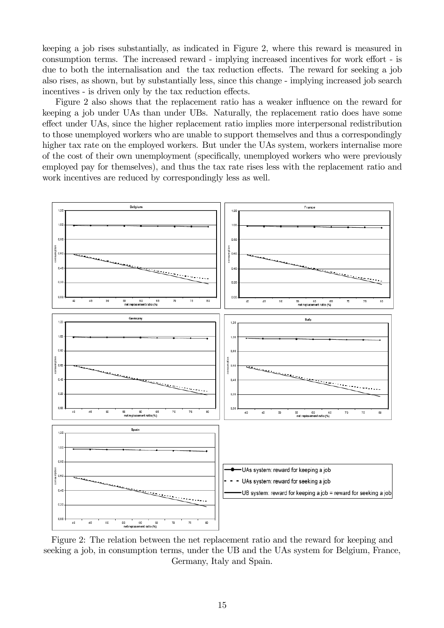keeping a job rises substantially, as indicated in Figure 2, where this reward is measured in consumption terms. The increased reward - implying increased incentives for work effort - is due to both the internalisation and the tax reduction effects. The reward for seeking a job also rises, as shown, but by substantially less, since this change - implying increased job search incentives - is driven only by the tax reduction effects.

Figure 2 also shows that the replacement ratio has a weaker influence on the reward for keeping a job under UAs than under UBs. Naturally, the replacement ratio does have some effect under UAs, since the higher replacement ratio implies more interpersonal redistribution to those unemployed workers who are unable to support themselves and thus a correspondingly higher tax rate on the employed workers. But under the UAs system, workers internalise more of the cost of their own unemployment (specifically, unemployed workers who were previously employed pay for themselves), and thus the tax rate rises less with the replacement ratio and work incentives are reduced by correspondingly less as well.



Figure 2: The relation between the net replacement ratio and the reward for keeping and seeking a job, in consumption terms, under the UB and the UAs system for Belgium, France, Germany, Italy and Spain.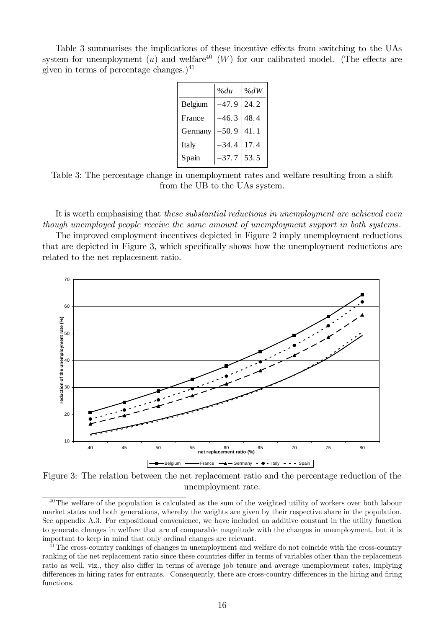Table 3 summarises the implications of these incentive effects from switching to the UAs system for unemployment  $(u)$  and welfare<sup>40</sup>  $(W)$  for our calibrated model. (The effects are given in terms of percentage changes.) $41$ 

|         | %du          | %dW  |
|---------|--------------|------|
| Belgium | $-47.9$      | 24.2 |
| France  | $-46.3$      | 48.4 |
| Germany | $-50.9$      | 41.1 |
| Italy   | $-34.4$      | 17.4 |
| Spain   | $-37.7$ 53.5 |      |

Table 3: The percentage change in unemployment rates and welfare resulting from a shift from the UB to the UAs system.

It is worth emphasising that these substantial reductions in unemployment are achieved even though unemployed people receive the same amount of unemployment support in both systems.

The improved employment incentives depicted in Figure 2 imply unemployment reductions that are depicted in Figure 3, which specifically shows how the unemployment reductions are related to the net replacement ratio.





 $40$ The welfare of the population is calculated as the sum of the weighted utility of workers over both labour market states and both generations, whereby the weights are given by their respective share in the population. See appendix A.3. For expositional convenience, we have included an additive constant in the utility function to generate changes in welfare that are of comparable magnitude with the changes in unemployment, but it is important to keep in mind that only ordinal changes are relevant.

<sup>&</sup>lt;sup>41</sup>The cross-country rankings of changes in unemployment and welfare do not coincide with the cross-country ranking of the net replacement ratio since these countries differ in terms of variables other than the replacement ratio as well, viz., they also differ in terms of average job tenure and average unemployment rates, implying differences in hiring rates for entrants. Consequently, there are cross-country differences in the hiring and firing functions.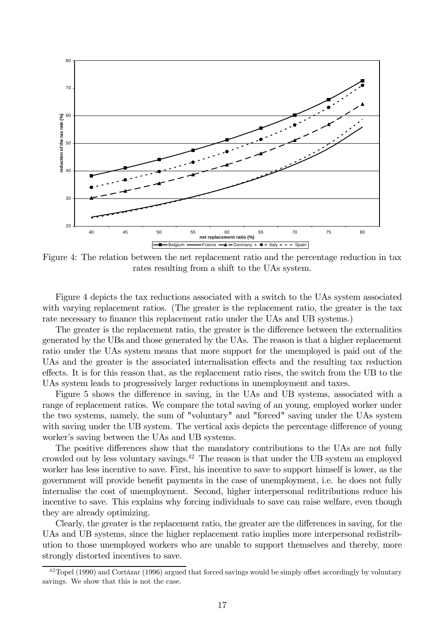

Figure 4: The relation between the net replacement ratio and the percentage reduction in tax rates resulting from a shift to the UAs system.

Figure 4 depicts the tax reductions associated with a switch to the UAs system associated with varying replacement ratios. (The greater is the replacement ratio, the greater is the tax rate necessary to finance this replacement ratio under the UAs and UB systems.)

The greater is the replacement ratio, the greater is the difference between the externalities generated by the UBs and those generated by the UAs. The reason is that a higher replacement ratio under the UAs system means that more support for the unemployed is paid out of the UAs and the greater is the associated internalisation effects and the resulting tax reduction effects. It is for this reason that, as the replacement ratio rises, the switch from the UB to the UAs system leads to progressively larger reductions in unemployment and taxes.

Figure 5 shows the difference in saving, in the UAs and UB systems, associated with a range of replacement ratios. We compare the total saving of an young, employed worker under the two systems, namely, the sum of "voluntary" and "forced" saving under the UAs system with saving under the UB system. The vertical axis depicts the percentage difference of young worker's saving between the UAs and UB systems.

The positive differences show that the mandatory contributions to the UAs are not fully crowded out by less voluntary savings.42 The reason is that under the UB system an employed worker has less incentive to save. First, his incentive to save to support himself is lower, as the government will provide benefit payments in the case of unemployment, i.e. he does not fully internalise the cost of unemployment. Second, higher interpersonal reditributions reduce his incentive to save. This explains why forcing individuals to save can raise welfare, even though they are already optimizing.

Clearly, the greater is the replacement ratio, the greater are the differences in saving, for the UAs and UB systems, since the higher replacement ratio implies more interpersonal redistribution to those unemployed workers who are unable to support themselves and thereby, more strongly distorted incentives to save.

<sup>&</sup>lt;sup>42</sup>Topel (1990) and Cortázar (1996) argued that forced savings would be simply offset accordingly by voluntary savings. We show that this is not the case.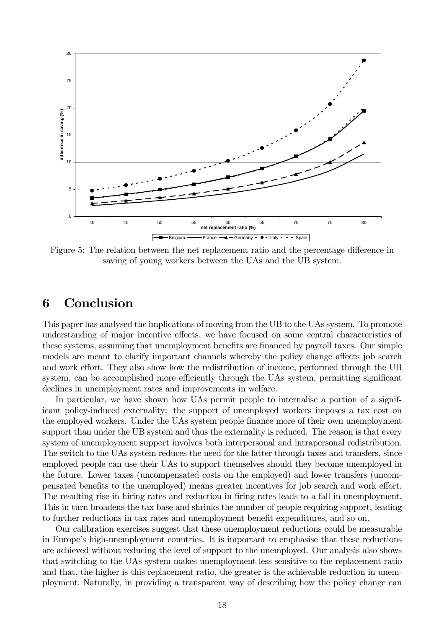

Figure 5: The relation between the net replacement ratio and the percentage difference in saving of young workers between the UAs and the UB system.

## 6 Conclusion

This paper has analysed the implications of moving from the UB to the UAs system. To promote understanding of major incentive effects, we have focused on some central characteristics of these systems, assuming that unemployment benefits are financed by payroll taxes. Our simple models are meant to clarify important channels whereby the policy change affects job search and work effort. They also show how the redistribution of income, performed through the UB system, can be accomplished more efficiently through the UAs system, permitting significant declines in unemployment rates and improvements in welfare.

In particular, we have shown how UAs permit people to internalise a portion of a significant policy-induced externality: the support of unemployed workers imposes a tax cost on the employed workers. Under the UAs system people finance more of their own unemployment support than under the UB system and thus the externality is reduced. The reason is that every system of unemployment support involves both interpersonal and intrapersonal redistribution. The switch to the UAs system reduces the need for the latter through taxes and transfers, since employed people can use their UAs to support themselves should they become unemployed in the future. Lower taxes (uncompensated costs on the employed) and lower transfers (uncompensated benefits to the unemployed) means greater incentives for job search and work effort. The resulting rise in hiring rates and reduction in firing rates leads to a fall in unemployment. This in turn broadens the tax base and shrinks the number of people requiring support, leading to further reductions in tax rates and unemployment benefit expenditures, and so on.

Our calibration exercises suggest that these unemployment reductions could be measurable in Europe's high-unemployment countries. It is important to emphasise that these reductions are achieved without reducing the level of support to the unemployed. Our analysis also shows that switching to the UAs system makes unemployment less sensitive to the replacement ratio and that, the higher is this replacement ratio, the greater is the achievable reduction in unemployment. Naturally, in providing a transparent way of describing how the policy change can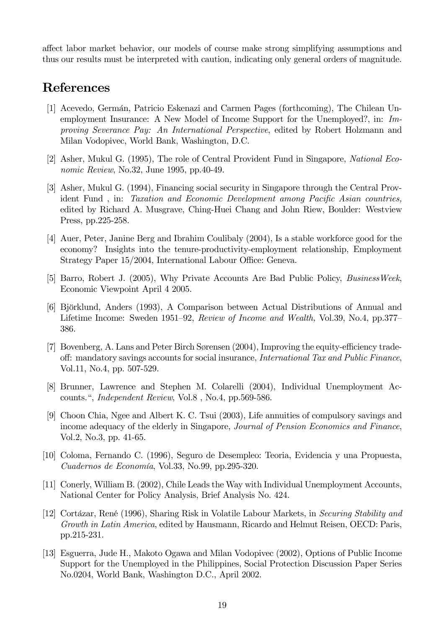affect labor market behavior, our models of course make strong simplifying assumptions and thus our results must be interpreted with caution, indicating only general orders of magnitude.

## References

- [1] Acevedo, Germán, Patricio Eskenazi and Carmen Pages (forthcoming), The Chilean Unemployment Insurance: A New Model of Income Support for the Unemployed?, in: Improving Severance Pay: An International Perspective, edited by Robert Holzmann and Milan Vodopivec, World Bank, Washington, D.C.
- [2] Asher, Mukul G. (1995), The role of Central Provident Fund in Singapore, National Economic Review, No.32, June 1995, pp.40-49.
- [3] Asher, Mukul G. (1994), Financing social security in Singapore through the Central Provident Fund , in: Taxation and Economic Development among Pacific Asian countries, edited by Richard A. Musgrave, Ching-Huei Chang and John Riew, Boulder: Westview Press, pp.225-258.
- [4] Auer, Peter, Janine Berg and Ibrahim Coulibaly (2004), Is a stable workforce good for the economy? Insights into the tenure-productivity-employment relationship, Employment Strategy Paper 15/2004, International Labour Office: Geneva.
- [5] Barro, Robert J. (2005), Why Private Accounts Are Bad Public Policy, *BusinessWeek*, Economic Viewpoint April 4 2005.
- [6] Björklund, Anders (1993), A Comparison between Actual Distributions of Annual and Lifetime Income: Sweden 1951–92, Review of Income and Wealth, Vol.39, No.4, pp.377– 386.
- [7] Bovenberg, A. Lans and Peter Birch Sørensen (2004), Improving the equity-efficiency tradeoff: mandatory savings accounts for social insurance, International Tax and Public Finance, Vol.11, No.4, pp. 507-529.
- [8] Brunner, Lawrence and Stephen M. Colarelli (2004), Individual Unemployment Accounts.", Independent Review, Vol.8 , No.4, pp.569-586.
- [9] Choon Chia, Ngee and Albert K. C. Tsui (2003), Life annuities of compulsory savings and income adequacy of the elderly in Singapore, Journal of Pension Economics and Finance, Vol.2, No.3, pp. 41-65.
- [10] Coloma, Fernando C. (1996), Seguro de Desempleo: Teoria, Evidencia y una Propuesta, Cuadernos de Economía, Vol.33, No.99, pp.295-320.
- [11] Conerly, William B. (2002), Chile Leads the Way with Individual Unemployment Accounts, National Center for Policy Analysis, Brief Analysis No. 424.
- [12] Cortázar, René (1996), Sharing Risk in Volatile Labour Markets, in Securing Stability and Growth in Latin America, edited by Hausmann, Ricardo and Helmut Reisen, OECD: Paris, pp.215-231.
- [13] Esguerra, Jude H., Makoto Ogawa and Milan Vodopivec (2002), Options of Public Income Support for the Unemployed in the Philippines, Social Protection Discussion Paper Series No.0204, World Bank, Washington D.C., April 2002.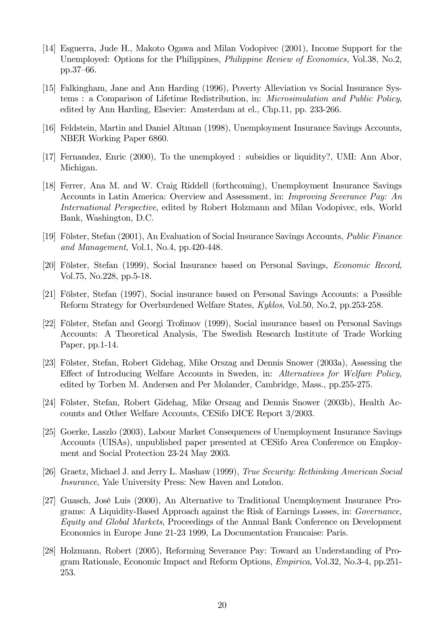- [14] Esguerra, Jude H., Makoto Ogawa and Milan Vodopivec (2001), Income Support for the Unemployed: Options for the Philippines, *Philippine Review of Economics*, Vol.38, No.2, pp.37—66.
- [15] Falkingham, Jane and Ann Harding (1996), Poverty Alleviation vs Social Insurance Systems : a Comparison of Lifetime Redistribution, in: Microsimulation and Public Policy, edited by Ann Harding, Elsevier: Amsterdam at el., Chp.11, pp. 233-266.
- [16] Feldstein, Martin and Daniel Altman (1998), Unemployment Insurance Savings Accounts, NBER Working Paper 6860.
- [17] Fernandez, Enric (2000), To the unemployed : subsidies or liquidity?, UMI: Ann Abor, Michigan.
- [18] Ferrer, Ana M. and W. Craig Riddell (forthcoming), Unemployment Insurance Savings Accounts in Latin America: Overview and Assessment, in: Improving Severance Pay: An International Perspective, edited by Robert Holzmann and Milan Vodopivec, eds, World Bank, Washington, D.C.
- [19] Fölster, Stefan (2001), An Evaluation of Social Insurance Savings Accounts, Public Finance and Management, Vol.1, No.4, pp.420-448.
- [20] Fölster, Stefan (1999), Social Insurance based on Personal Savings, Economic Record, Vol.75, No.228, pp.5-18.
- [21] Fölster, Stefan (1997), Social insurance based on Personal Savings Accounts: a Possible Reform Strategy for Overburdened Welfare States, Kyklos, Vol.50, No.2, pp.253-258.
- [22] Fölster, Stefan and Georgi Trofimov (1999), Social insurance based on Personal Savings Accounts: A Theoretical Analysis, The Swedish Research Institute of Trade Working Paper, pp.1-14.
- [23] Fölster, Stefan, Robert Gidehag, Mike Orszag and Dennis Snower (2003a), Assessing the Effect of Introducing Welfare Accounts in Sweden, in: Alternatives for Welfare Policy, edited by Torben M. Andersen and Per Molander, Cambridge, Mass., pp.255-275.
- [24] Fölster, Stefan, Robert Gidehag, Mike Orszag and Dennis Snower (2003b), Health Accounts and Other Welfare Accounts, CESifo DICE Report 3/2003.
- [25] Goerke, Laszlo (2003), Labour Market Consequences of Unemployment Insurance Savings Accounts (UISAs), unpublished paper presented at CESifo Area Conference on Employment and Social Protection 23-24 May 2003.
- [26] Graetz, Michael J. and Jerry L. Mashaw (1999), True Security: Rethinking American Social Insurance, Yale University Press: New Haven and London.
- [27] Guasch, José Luis (2000), An Alternative to Traditional Unemployment Insurance Programs: A Liquidity-Based Approach against the Risk of Earnings Losses, in: Governance, Equity and Global Markets, Proceedings of the Annual Bank Conference on Development Economics in Europe June 21-23 1999, La Documentation Francaise: Paris.
- [28] Holzmann, Robert (2005), Reforming Severance Pay: Toward an Understanding of Program Rationale, Economic Impact and Reform Options, Empirica, Vol.32, No.3-4, pp.251- 253.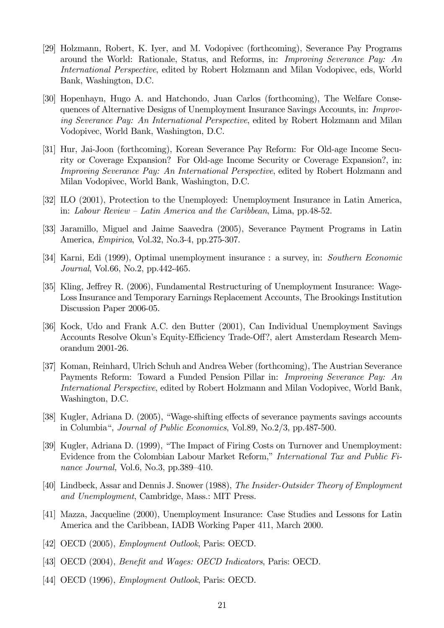- [29] Holzmann, Robert, K. Iyer, and M. Vodopivec (forthcoming), Severance Pay Programs around the World: Rationale, Status, and Reforms, in: Improving Severance Pay: An International Perspective, edited by Robert Holzmann and Milan Vodopivec, eds, World Bank, Washington, D.C.
- [30] Hopenhayn, Hugo A. and Hatchondo, Juan Carlos (forthcoming), The Welfare Consequences of Alternative Designs of Unemployment Insurance Savings Accounts, in: Improving Severance Pay: An International Perspective, edited by Robert Holzmann and Milan Vodopivec, World Bank, Washington, D.C.
- [31] Hur, Jai-Joon (forthcoming), Korean Severance Pay Reform: For Old-age Income Security or Coverage Expansion? For Old-age Income Security or Coverage Expansion?, in: Improving Severance Pay: An International Perspective, edited by Robert Holzmann and Milan Vodopivec, World Bank, Washington, D.C.
- [32] ILO (2001), Protection to the Unemployed: Unemployment Insurance in Latin America, in: Labour Review — Latin America and the Caribbean, Lima, pp.48-52.
- [33] Jaramillo, Miguel and Jaime Saavedra (2005), Severance Payment Programs in Latin America, Empirica, Vol.32, No.3-4, pp.275-307.
- [34] Karni, Edi (1999), Optimal unemployment insurance : a survey, in: Southern Economic Journal, Vol.66, No.2, pp.442-465.
- [35] Kling, Jeffrey R. (2006), Fundamental Restructuring of Unemployment Insurance: Wage-Loss Insurance and Temporary Earnings Replacement Accounts, The Brookings Institution Discussion Paper 2006-05.
- [36] Kock, Udo and Frank A.C. den Butter (2001), Can Individual Unemployment Savings Accounts Resolve Okun's Equity-Efficiency Trade-Off?, alert Amsterdam Research Memorandum 2001-26.
- [37] Koman, Reinhard, Ulrich Schuh and Andrea Weber (forthcoming), The Austrian Severance Payments Reform: Toward a Funded Pension Pillar in: Improving Severance Pay: An International Perspective, edited by Robert Holzmann and Milan Vodopivec, World Bank, Washington, D.C.
- [38] Kugler, Adriana D. (2005), "Wage-shifting effects of severance payments savings accounts in Columbia", Journal of Public Economics, Vol.89, No.2/3, pp.487-500.
- [39] Kugler, Adriana D. (1999), "The Impact of Firing Costs on Turnover and Unemployment: Evidence from the Colombian Labour Market Reform," International Tax and Public Finance Journal, Vol.6, No.3, pp.389—410.
- [40] Lindbeck, Assar and Dennis J. Snower (1988), The Insider-Outsider Theory of Employment and Unemployment, Cambridge, Mass.: MIT Press.
- [41] Mazza, Jacqueline (2000), Unemployment Insurance: Case Studies and Lessons for Latin America and the Caribbean, IADB Working Paper 411, March 2000.
- [42] OECD (2005), *Employment Outlook*, Paris: OECD.
- [43] OECD (2004), *Benefit and Wages: OECD Indicators*, Paris: OECD.
- [44] OECD (1996), *Employment Outlook*, Paris: OECD.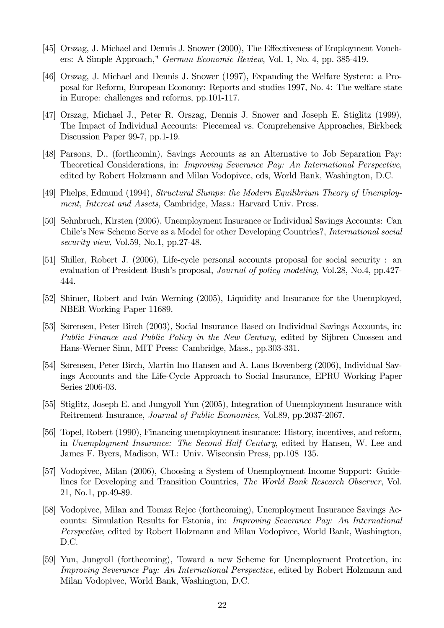- [45] Orszag, J. Michael and Dennis J. Snower (2000), The Effectiveness of Employment Vouchers: A Simple Approach," German Economic Review, Vol. 1, No. 4, pp. 385-419.
- [46] Orszag, J. Michael and Dennis J. Snower (1997), Expanding the Welfare System: a Proposal for Reform, European Economy: Reports and studies 1997, No. 4: The welfare state in Europe: challenges and reforms, pp.101-117.
- [47] Orszag, Michael J., Peter R. Orszag, Dennis J. Snower and Joseph E. Stiglitz (1999), The Impact of Individual Accounts: Piecemeal vs. Comprehensive Approaches, Birkbeck Discussion Paper 99-7, pp.1-19.
- [48] Parsons, D., (forthcomin), Savings Accounts as an Alternative to Job Separation Pay: Theoretical Considerations, in: Improving Severance Pay: An International Perspective, edited by Robert Holzmann and Milan Vodopivec, eds, World Bank, Washington, D.C.
- [49] Phelps, Edmund (1994), Structural Slumps: the Modern Equilibrium Theory of Unemployment, Interest and Assets, Cambridge, Mass.: Harvard Univ. Press.
- [50] Sehnbruch, Kirsten (2006), Unemployment Insurance or Individual Savings Accounts: Can Chile's New Scheme Serve as a Model for other Developing Countries?, International social security view, Vol.59, No.1, pp.27-48.
- [51] Shiller, Robert J. (2006), Life-cycle personal accounts proposal for social security : an evaluation of President Bush's proposal, Journal of policy modeling, Vol.28, No.4, pp.427- 444.
- [52] Shimer, Robert and Iván Werning (2005), Liquidity and Insurance for the Unemployed, NBER Working Paper 11689.
- [53] Sørensen, Peter Birch (2003), Social Insurance Based on Individual Savings Accounts, in: Public Finance and Public Policy in the New Century, edited by Sijbren Cnossen and Hans-Werner Sinn, MIT Press: Cambridge, Mass., pp.303-331.
- [54] Sørensen, Peter Birch, Martin Ino Hansen and A. Lans Bovenberg (2006), Individual Savings Accounts and the Life-Cycle Approach to Social Insurance, EPRU Working Paper Series 2006-03.
- [55] Stiglitz, Joseph E. and Jungyoll Yun (2005), Integration of Unemployment Insurance with Reitrement Insurance, Journal of Public Economics, Vol.89, pp.2037-2067.
- [56] Topel, Robert (1990), Financing unemployment insurance: History, incentives, and reform, in Unemployment Insurance: The Second Half Century, edited by Hansen, W. Lee and James F. Byers, Madison, WI.: Univ. Wisconsin Press, pp.108—135.
- [57] Vodopivec, Milan (2006), Choosing a System of Unemployment Income Support: Guidelines for Developing and Transition Countries, The World Bank Research Observer, Vol. 21, No.1, pp.49-89.
- [58] Vodopivec, Milan and Tomaz Rejec (forthcoming), Unemployment Insurance Savings Accounts: Simulation Results for Estonia, in: Improving Severance Pay: An International Perspective, edited by Robert Holzmann and Milan Vodopivec, World Bank, Washington, D.C.
- [59] Yun, Jungroll (forthcoming), Toward a new Scheme for Unemployment Protection, in: Improving Severance Pay: An International Perspective, edited by Robert Holzmann and Milan Vodopivec, World Bank, Washington, D.C.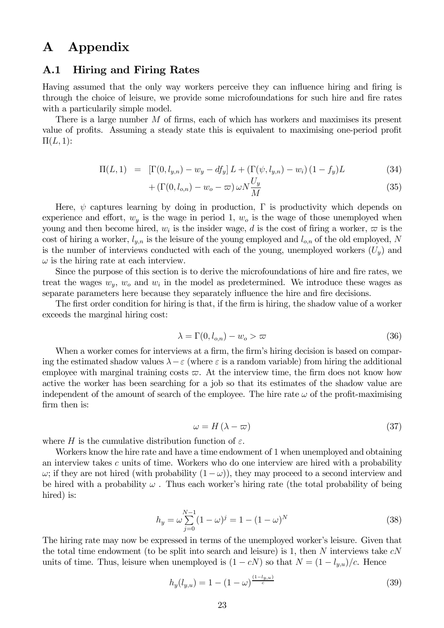## A Appendix

#### A.1 Hiring and Firing Rates

Having assumed that the only way workers perceive they can influence hiring and firing is through the choice of leisure, we provide some microfoundations for such hire and fire rates with a particularily simple model.

There is a large number M of firms, each of which has workers and maximises its present value of profits. Assuming a steady state this is equivalent to maximising one-period profit  $\Pi(L,1)$ :

$$
\Pi(L,1) = [\Gamma(0,l_{y,n}) - w_y - df_y] L + (\Gamma(\psi,l_{y,n}) - w_i) (1 - f_y) L \tag{34}
$$

$$
+\left(\Gamma(0, l_{o,n}) - w_o - \varpi\right)\omega N \frac{U_y}{M} \tag{35}
$$

Here,  $\psi$  captures learning by doing in production,  $\Gamma$  is productivity which depends on experience and effort,  $w_y$  is the wage in period 1,  $w_o$  is the wage of those unemployed when young and then become hired,  $w_i$  is the insider wage, d is the cost of firing a worker,  $\varpi$  is the cost of hiring a worker,  $l_{y,n}$  is the leisure of the young employed and  $l_{o,n}$  of the old employed, N is the number of interviews conducted with each of the young, unemployed workers  $(U<sub>y</sub>)$  and  $\omega$  is the hiring rate at each interview.

Since the purpose of this section is to derive the microfoundations of hire and fire rates, we treat the wages  $w_y$ ,  $w_o$  and  $w_i$  in the model as predetermined. We introduce these wages as separate parameters here because they separately influence the hire and fire decisions.

The first order condition for hiring is that, if the firm is hiring, the shadow value of a worker exceeds the marginal hiring cost:

$$
\lambda = \Gamma(0, l_{o,n}) - w_o > \varpi \tag{36}
$$

When a worker comes for interviews at a firm, the firm's hiring decision is based on comparing the estimated shadow values  $\lambda - \varepsilon$  (where  $\varepsilon$  is a random variable) from hiring the additional employee with marginal training costs  $\varpi$ . At the interview time, the firm does not know how active the worker has been searching for a job so that its estimates of the shadow value are independent of the amount of search of the employee. The hire rate  $\omega$  of the profit-maximising firm then is:

$$
\omega = H(\lambda - \varpi) \tag{37}
$$

where H is the cumulative distribution function of  $\varepsilon$ .

Workers know the hire rate and have a time endowment of 1 when unemployed and obtaining an interview takes c units of time. Workers who do one interview are hired with a probability  $\omega$ ; if they are not hired (with probability  $(1 - \omega)$ ), they may proceed to a second interview and be hired with a probability  $\omega$ . Thus each worker's hiring rate (the total probability of being hired) is:

$$
h_y = \omega \sum_{j=0}^{N-1} (1 - \omega)^j = 1 - (1 - \omega)^N
$$
\n(38)

The hiring rate may now be expressed in terms of the unemployed worker's leisure. Given that the total time endowment (to be split into search and leisure) is 1, then  $N$  interviews take  $cN$ units of time. Thus, leisure when unemployed is  $(1 - cN)$  so that  $N = (1 - l_{y,u})/c$ . Hence

$$
h_y(l_{y,u}) = 1 - (1 - \omega)^{\frac{(1 - l_{y,u})}{c}}
$$
\n(39)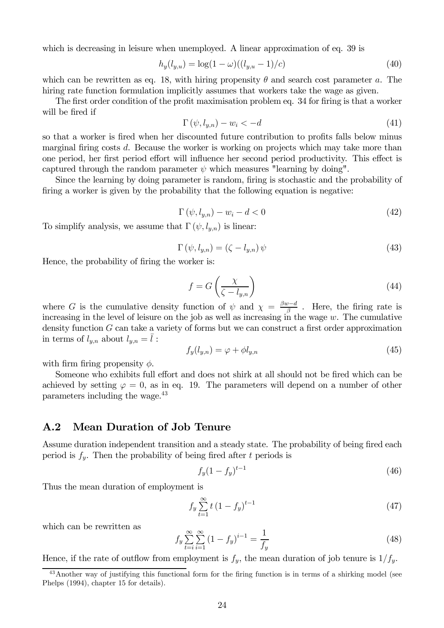which is decreasing in leisure when unemployed. A linear approximation of eq. 39 is

$$
h_y(l_{y,u}) = \log(1 - \omega)((l_{y,u} - 1)/c)
$$
\n(40)

which can be rewritten as eq. 18, with hiring propensity  $\theta$  and search cost parameter a. The hiring rate function formulation implicitly assumes that workers take the wage as given.

The first order condition of the profit maximisation problem eq. 34 for firing is that a worker will be fired if

$$
\Gamma(\psi, l_{y,n}) - w_i < -d \tag{41}
$$

so that a worker is fired when her discounted future contribution to profits falls below minus marginal firing costs d. Because the worker is working on projects which may take more than one period, her first period effort will influence her second period productivity. This effect is captured through the random parameter  $\psi$  which measures "learning by doing".

Since the learning by doing parameter is random, firing is stochastic and the probability of firing a worker is given by the probability that the following equation is negative:

$$
\Gamma(\psi, l_{y,n}) - w_i - d < 0 \tag{42}
$$

To simplify analysis, we assume that  $\Gamma(\psi, l_{y,n})$  is linear:

$$
\Gamma(\psi, l_{y,n}) = (\zeta - l_{y,n}) \psi \tag{43}
$$

Hence, the probability of firing the worker is:

$$
f = G\left(\frac{\chi}{\zeta - l_{y,n}}\right) \tag{44}
$$

where G is the cumulative density function of  $\psi$  and  $\chi = \frac{\beta w - d}{\beta}$ . Here, the firing rate is increasing in the level of leisure on the job as well as increasing in the wage  $w$ . The cumulative density function  $G$  can take a variety of forms but we can construct a first order approximation in terms of  $l_{y,n}$  about  $l_{y,n} = l$  :

$$
f_y(l_{y,n}) = \varphi + \phi l_{y,n} \tag{45}
$$

with firm firing propensity  $\phi$ .

Someone who exhibits full effort and does not shirk at all should not be fired which can be achieved by setting  $\varphi = 0$ , as in eq. 19. The parameters will depend on a number of other parameters including the wage.43

#### A.2 Mean Duration of Job Tenure

Assume duration independent transition and a steady state. The probability of being fired each period is  $f_y$ . Then the probability of being fired after t periods is

$$
f_y(1 - f_y)^{t-1} \tag{46}
$$

Thus the mean duration of employment is

$$
f_y \sum_{t=1}^{\infty} t \left( 1 - f_y \right)^{t-1} \tag{47}
$$

which can be rewritten as

$$
f_y \sum_{t=i}^{\infty} \sum_{i=1}^{\infty} (1 - f_y)^{i-1} = \frac{1}{f_y}
$$
 (48)

Hence, if the rate of outflow from employment is  $f_y$ , the mean duration of job tenure is  $1/f_y$ .

<sup>&</sup>lt;sup>43</sup>Another way of justifying this functional form for the firing function is in terms of a shirking model (see Phelps (1994), chapter 15 for details).